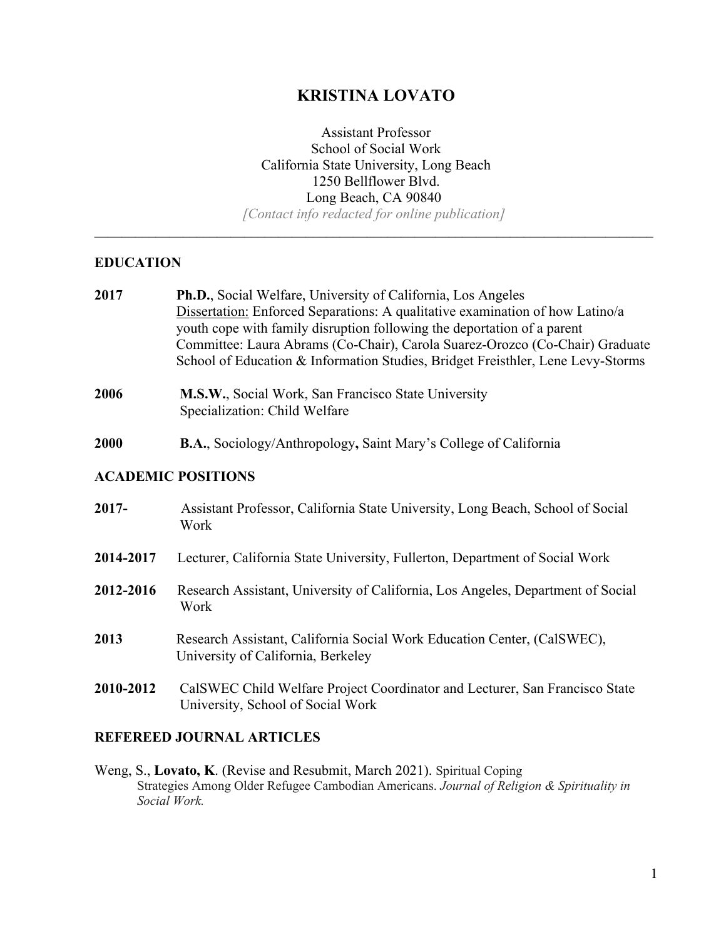# **KRISTINA LOVATO**

Assistant Professor School of Social Work California State University, Long Beach 1250 Bellflower Blvd. Long Beach, CA 90840 *[Contact info redacted for online publication]*

 $\_$  , and the contribution of the contribution of the contribution of the contribution of  $\mathcal{L}_\text{max}$ 

## **EDUCATION**

| 2017      | Ph.D., Social Welfare, University of California, Los Angeles<br>Dissertation: Enforced Separations: A qualitative examination of how Latino/a<br>youth cope with family disruption following the deportation of a parent<br>Committee: Laura Abrams (Co-Chair), Carola Suarez-Orozco (Co-Chair) Graduate<br>School of Education & Information Studies, Bridget Freisthler, Lene Levy-Storms |
|-----------|---------------------------------------------------------------------------------------------------------------------------------------------------------------------------------------------------------------------------------------------------------------------------------------------------------------------------------------------------------------------------------------------|
| 2006      | M.S.W., Social Work, San Francisco State University<br>Specialization: Child Welfare                                                                                                                                                                                                                                                                                                        |
| 2000      | <b>B.A.</b> , Sociology/Anthropology, Saint Mary's College of California                                                                                                                                                                                                                                                                                                                    |
|           | <b>ACADEMIC POSITIONS</b>                                                                                                                                                                                                                                                                                                                                                                   |
| $2017 -$  | Assistant Professor, California State University, Long Beach, School of Social<br>Work                                                                                                                                                                                                                                                                                                      |
| 2014-2017 | Lecturer, California State University, Fullerton, Department of Social Work                                                                                                                                                                                                                                                                                                                 |
| 2012-2016 | Research Assistant, University of California, Los Angeles, Department of Social<br>Work                                                                                                                                                                                                                                                                                                     |
| 2013      | Research Assistant, California Social Work Education Center, (CalSWEC),<br>University of California, Berkeley                                                                                                                                                                                                                                                                               |
| 2010-2012 | CalSWEC Child Welfare Project Coordinator and Lecturer, San Francisco State<br>University, School of Social Work                                                                                                                                                                                                                                                                            |
|           |                                                                                                                                                                                                                                                                                                                                                                                             |

# **REFEREED JOURNAL ARTICLES**

Weng, S., **Lovato, K**. (Revise and Resubmit, March 2021). Spiritual Coping Strategies Among Older Refugee Cambodian Americans. *Journal of Religion & Spirituality in Social Work.*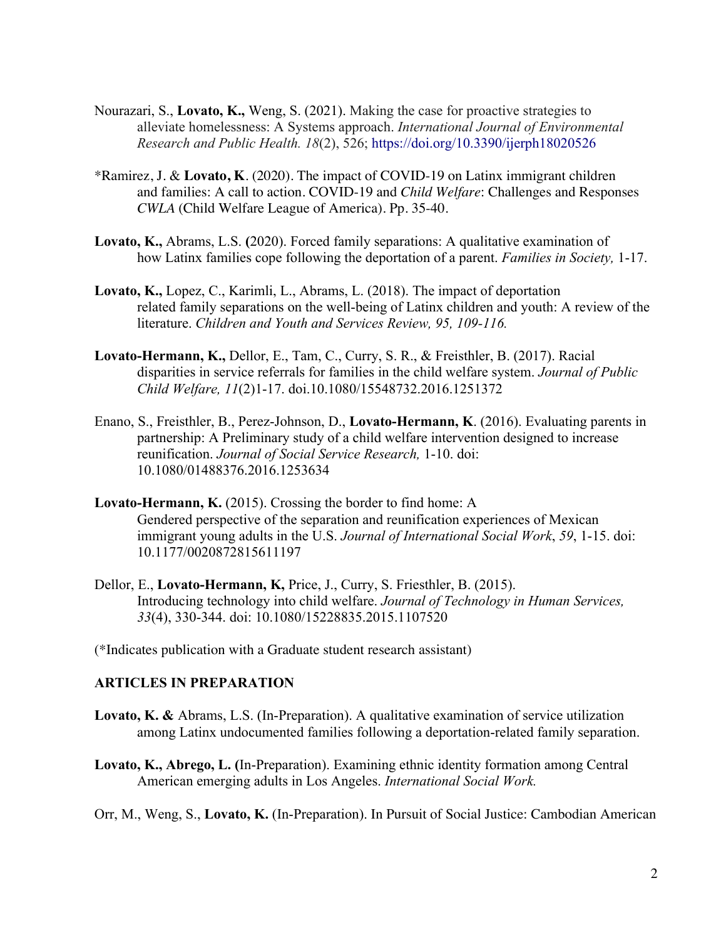- Nourazari, S., **Lovato, K.,** Weng, S. (2021). Making the case for proactive strategies to alleviate homelessness: A Systems approach. *International Journal of Environmental Research and Public Health. 18*(2), 526; https://doi.org/10.3390/ijerph18020526
- \*Ramirez, J. & **Lovato, K**. (2020). The impact of COVID-19 on Latinx immigrant children and families: A call to action. COVID-19 and *Child Welfare*: Challenges and Responses *CWLA* (Child Welfare League of America). Pp. 35-40.
- **Lovato, K.,** Abrams, L.S. **(**2020). Forced family separations: A qualitative examination of how Latinx families cope following the deportation of a parent. *Families in Society,* 1-17.
- **Lovato, K.,** Lopez, C., Karimli, L., Abrams, L. (2018). The impact of deportation related family separations on the well-being of Latinx children and youth: A review of the literature. *Children and Youth and Services Review, 95, 109-116.*
- **Lovato-Hermann, K.,** Dellor, E., Tam, C., Curry, S. R., & Freisthler, B. (2017). Racial disparities in service referrals for families in the child welfare system. *Journal of Public Child Welfare, 11*(2)1-17. doi.10.1080/15548732.2016.1251372
- Enano, S., Freisthler, B., Perez-Johnson, D., **Lovato-Hermann, K**. (2016). Evaluating parents in partnership: A Preliminary study of a child welfare intervention designed to increase reunification. *Journal of Social Service Research,* 1-10. doi: 10.1080/01488376.2016.1253634
- **Lovato-Hermann, K.** (2015). Crossing the border to find home: A Gendered perspective of the separation and reunification experiences of Mexican immigrant young adults in the U.S. *Journal of International Social Work*, *59*, 1-15. doi: 10.1177/0020872815611197
- Dellor, E., **Lovato-Hermann, K,** Price, J., Curry, S. Friesthler, B. (2015). Introducing technology into child welfare. *Journal of Technology in Human Services, 33*(4), 330-344. doi: 10.1080/15228835.2015.1107520

(\*Indicates publication with a Graduate student research assistant)

#### **ARTICLES IN PREPARATION**

- **Lovato, K. &** Abrams, L.S. (In-Preparation). A qualitative examination of service utilization among Latinx undocumented families following a deportation-related family separation.
- **Lovato, K., Abrego, L. (**In-Preparation). Examining ethnic identity formation among Central American emerging adults in Los Angeles. *International Social Work.*

Orr, M., Weng, S., **Lovato, K.** (In-Preparation). In Pursuit of Social Justice: Cambodian American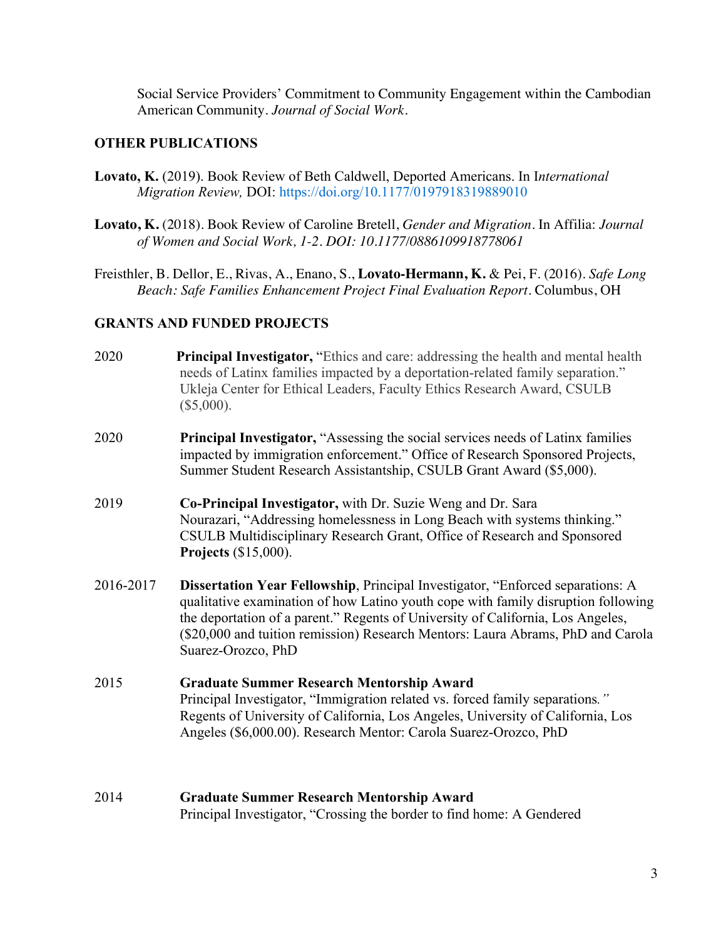Social Service Providers' Commitment to Community Engagement within the Cambodian American Community. *Journal of Social Work.*

## **OTHER PUBLICATIONS**

- **Lovato, K.** (2019). Book Review of Beth Caldwell, Deported Americans. In I*nternational Migration Review,* DOI: https://doi.org/10.1177/0197918319889010
- **Lovato, K.** (2018). Book Review of Caroline Bretell, *Gender and Migration*. In Affilia: *Journal of Women and Social Work, 1-2. DOI: 10.1177/0886109918778061*
- Freisthler, B. Dellor, E., Rivas, A., Enano, S., **Lovato-Hermann, K.** & Pei, F. (2016). *Safe Long Beach: Safe Families Enhancement Project Final Evaluation Report.* Columbus, OH

#### **GRANTS AND FUNDED PROJECTS**

- 2020 **Principal Investigator,** "Ethics and care: addressing the health and mental health needs of Latinx families impacted by a deportation-related family separation." Ukleja Center for Ethical Leaders, Faculty Ethics Research Award, CSULB (\$5,000).
- 2020 **Principal Investigator,** "Assessing the social services needs of Latinx families impacted by immigration enforcement." Office of Research Sponsored Projects, Summer Student Research Assistantship, CSULB Grant Award (\$5,000).
- 2019 **Co-Principal Investigator,** with Dr. Suzie Weng and Dr. Sara Nourazari, "Addressing homelessness in Long Beach with systems thinking." CSULB Multidisciplinary Research Grant, Office of Research and Sponsored **Projects** (\$15,000).
- 2016-2017 **Dissertation Year Fellowship**, Principal Investigator, "Enforced separations: A qualitative examination of how Latino youth cope with family disruption following the deportation of a parent." Regents of University of California, Los Angeles, (\$20,000 and tuition remission) Research Mentors: Laura Abrams, PhD and Carola Suarez-Orozco, PhD
- 2015 **Graduate Summer Research Mentorship Award** Principal Investigator, "Immigration related vs. forced family separations*."* Regents of University of California, Los Angeles, University of California, Los Angeles (\$6,000.00). Research Mentor: Carola Suarez-Orozco, PhD
- 2014 **Graduate Summer Research Mentorship Award**  Principal Investigator, "Crossing the border to find home: A Gendered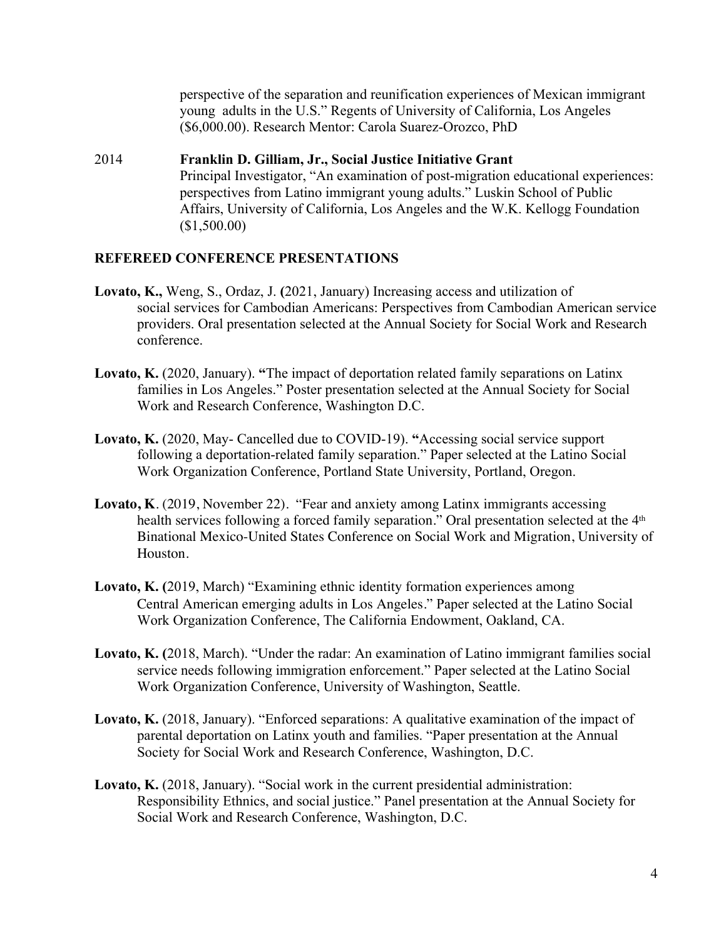perspective of the separation and reunification experiences of Mexican immigrant young adults in the U.S." Regents of University of California, Los Angeles (\$6,000.00). Research Mentor: Carola Suarez-Orozco, PhD

2014 **Franklin D. Gilliam, Jr., Social Justice Initiative Grant**  Principal Investigator, "An examination of post-migration educational experiences: perspectives from Latino immigrant young adults." Luskin School of Public Affairs, University of California, Los Angeles and the W.K. Kellogg Foundation (\$1,500.00)

#### **REFEREED CONFERENCE PRESENTATIONS**

- **Lovato, K.,** Weng, S., Ordaz, J. **(**2021, January) Increasing access and utilization of social services for Cambodian Americans: Perspectives from Cambodian American service providers. Oral presentation selected at the Annual Society for Social Work and Research conference.
- **Lovato, K.** (2020, January). **"**The impact of deportation related family separations on Latinx families in Los Angeles." Poster presentation selected at the Annual Society for Social Work and Research Conference, Washington D.C.
- **Lovato, K.** (2020, May- Cancelled due to COVID-19). **"**Accessing social service support following a deportation-related family separation." Paper selected at the Latino Social Work Organization Conference, Portland State University, Portland, Oregon.
- **Lovato, K**. (2019, November 22). "Fear and anxiety among Latinx immigrants accessing health services following a forced family separation." Oral presentation selected at the 4<sup>th</sup> Binational Mexico-United States Conference on Social Work and Migration, University of Houston.
- **Lovato, K. (**2019, March) "Examining ethnic identity formation experiences among Central American emerging adults in Los Angeles." Paper selected at the Latino Social Work Organization Conference, The California Endowment, Oakland, CA.
- **Lovato, K. (**2018, March). "Under the radar: An examination of Latino immigrant families social service needs following immigration enforcement." Paper selected at the Latino Social Work Organization Conference, University of Washington, Seattle.
- **Lovato, K.** (2018, January). "Enforced separations: A qualitative examination of the impact of parental deportation on Latinx youth and families. "Paper presentation at the Annual Society for Social Work and Research Conference, Washington, D.C.
- **Lovato, K.** (2018, January). "Social work in the current presidential administration: Responsibility Ethnics, and social justice." Panel presentation at the Annual Society for Social Work and Research Conference, Washington, D.C.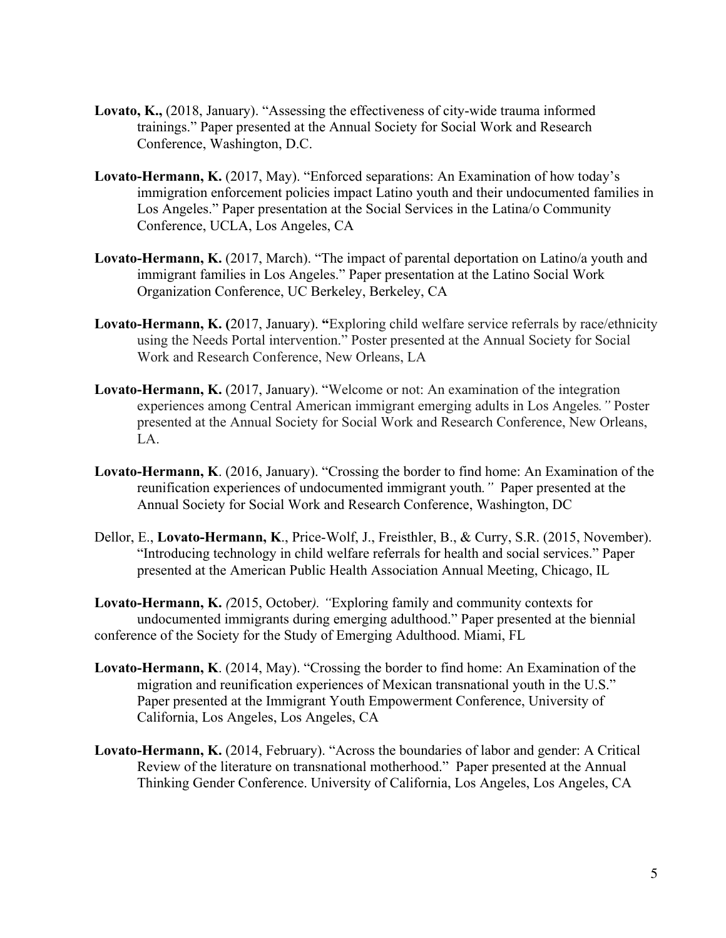- **Lovato, K.,** (2018, January). "Assessing the effectiveness of city-wide trauma informed trainings." Paper presented at the Annual Society for Social Work and Research Conference, Washington, D.C.
- **Lovato-Hermann, K.** (2017, May). "Enforced separations: An Examination of how today's immigration enforcement policies impact Latino youth and their undocumented families in Los Angeles." Paper presentation at the Social Services in the Latina/o Community Conference, UCLA, Los Angeles, CA
- **Lovato-Hermann, K.** (2017, March). "The impact of parental deportation on Latino/a youth and immigrant families in Los Angeles." Paper presentation at the Latino Social Work Organization Conference, UC Berkeley, Berkeley, CA
- **Lovato-Hermann, K. (**2017, January). **"**Exploring child welfare service referrals by race/ethnicity using the Needs Portal intervention." Poster presented at the Annual Society for Social Work and Research Conference, New Orleans, LA
- **Lovato-Hermann, K.** (2017, January). "Welcome or not: An examination of the integration experiences among Central American immigrant emerging adults in Los Angeles*."* Poster presented at the Annual Society for Social Work and Research Conference, New Orleans, LA.
- **Lovato-Hermann, K**. (2016, January). "Crossing the border to find home: An Examination of the reunification experiences of undocumented immigrant youth*."* Paper presented at the Annual Society for Social Work and Research Conference, Washington, DC
- Dellor, E., **Lovato-Hermann, K**., Price-Wolf, J., Freisthler, B., & Curry, S.R. (2015, November). "Introducing technology in child welfare referrals for health and social services." Paper presented at the American Public Health Association Annual Meeting, Chicago, IL
- **Lovato-Hermann, K.** *(*2015, October*). "*Exploring family and community contexts for undocumented immigrants during emerging adulthood." Paper presented at the biennial conference of the Society for the Study of Emerging Adulthood. Miami, FL
- **Lovato-Hermann, K**. (2014, May). "Crossing the border to find home: An Examination of the migration and reunification experiences of Mexican transnational youth in the U.S." Paper presented at the Immigrant Youth Empowerment Conference, University of California, Los Angeles, Los Angeles, CA
- **Lovato-Hermann, K.** (2014, February). "Across the boundaries of labor and gender: A Critical Review of the literature on transnational motherhood."Paper presented at the Annual Thinking Gender Conference. University of California, Los Angeles, Los Angeles, CA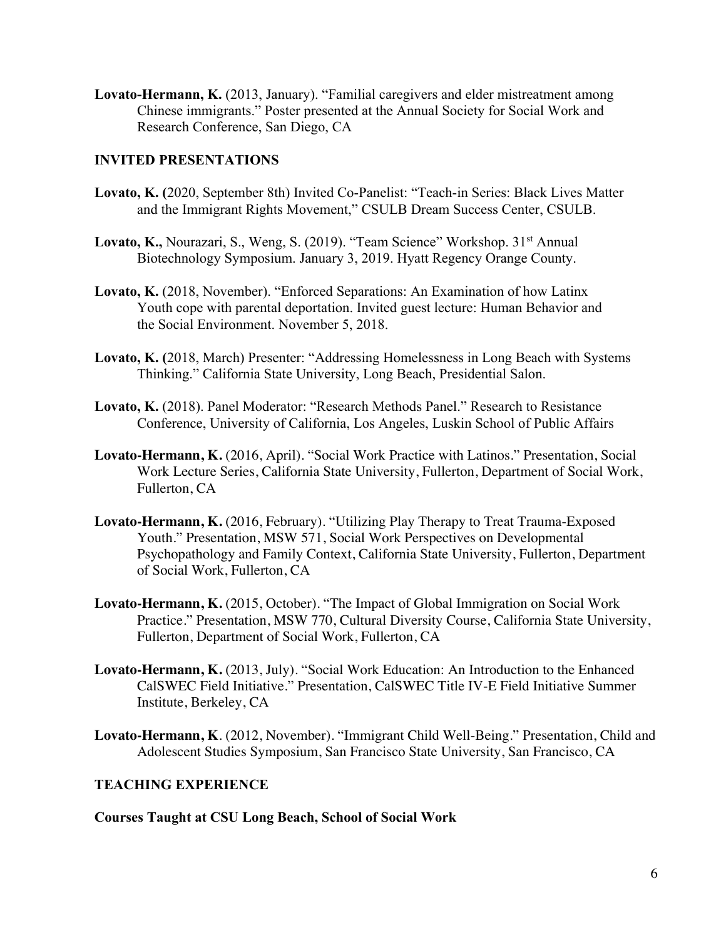**Lovato-Hermann, K.** (2013, January). "Familial caregivers and elder mistreatment among Chinese immigrants." Poster presented at the Annual Society for Social Work and Research Conference, San Diego, CA

## **INVITED PRESENTATIONS**

- **Lovato, K. (**2020, September 8th) Invited Co-Panelist: "Teach-in Series: Black Lives Matter and the Immigrant Rights Movement," CSULB Dream Success Center, CSULB.
- Lovato, K., Nourazari, S., Weng, S. (2019). "Team Science" Workshop. 31<sup>st</sup> Annual Biotechnology Symposium. January 3, 2019. Hyatt Regency Orange County.
- **Lovato, K.** (2018, November). "Enforced Separations: An Examination of how Latinx Youth cope with parental deportation. Invited guest lecture: Human Behavior and the Social Environment. November 5, 2018.
- **Lovato, K. (**2018, March) Presenter: "Addressing Homelessness in Long Beach with Systems Thinking." California State University, Long Beach, Presidential Salon.
- **Lovato, K.** (2018). Panel Moderator: "Research Methods Panel." Research to Resistance Conference, University of California, Los Angeles, Luskin School of Public Affairs
- **Lovato-Hermann, K.** (2016, April). "Social Work Practice with Latinos." Presentation, Social Work Lecture Series, California State University, Fullerton, Department of Social Work, Fullerton, CA
- **Lovato-Hermann, K.** (2016, February). "Utilizing Play Therapy to Treat Trauma-Exposed Youth." Presentation, MSW 571, Social Work Perspectives on Developmental Psychopathology and Family Context, California State University, Fullerton, Department of Social Work, Fullerton, CA
- **Lovato-Hermann, K.** (2015, October). "The Impact of Global Immigration on Social Work Practice." Presentation, MSW 770, Cultural Diversity Course, California State University, Fullerton, Department of Social Work, Fullerton, CA
- **Lovato-Hermann, K.** (2013, July). "Social Work Education: An Introduction to the Enhanced CalSWEC Field Initiative." Presentation, CalSWEC Title IV-E Field Initiative Summer Institute, Berkeley, CA
- **Lovato-Hermann, K**. (2012, November). "Immigrant Child Well-Being*.*" Presentation, Child and Adolescent Studies Symposium, San Francisco State University, San Francisco, CA

# **TEACHING EXPERIENCE**

**Courses Taught at CSU Long Beach, School of Social Work**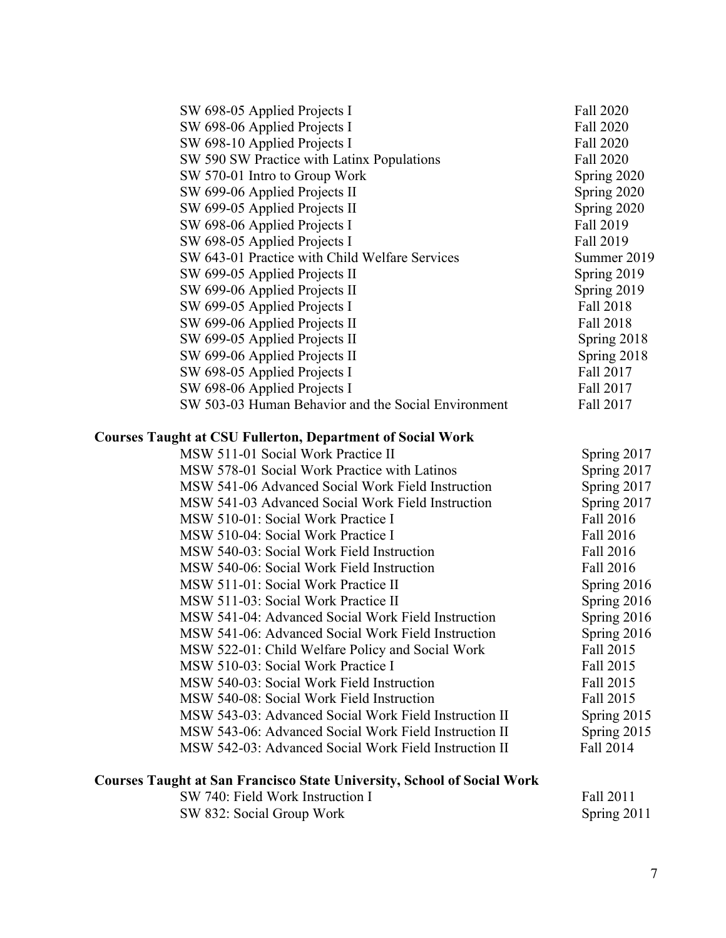| SW 698-05 Applied Projects I                        | Fall 2020   |
|-----------------------------------------------------|-------------|
| SW 698-06 Applied Projects I                        | Fall 2020   |
| SW 698-10 Applied Projects I                        | Fall 2020   |
| SW 590 SW Practice with Latinx Populations          | Fall 2020   |
| SW 570-01 Intro to Group Work                       | Spring 2020 |
| SW 699-06 Applied Projects II                       | Spring 2020 |
| SW 699-05 Applied Projects II                       | Spring 2020 |
| SW 698-06 Applied Projects I                        | Fall 2019   |
| SW 698-05 Applied Projects I                        | Fall 2019   |
| SW 643-01 Practice with Child Welfare Services      | Summer 2019 |
| SW 699-05 Applied Projects II                       | Spring 2019 |
| SW 699-06 Applied Projects II                       | Spring 2019 |
| SW 699-05 Applied Projects I                        | Fall 2018   |
| SW 699-06 Applied Projects II                       | Fall 2018   |
| SW 699-05 Applied Projects II                       | Spring 2018 |
| SW 699-06 Applied Projects II                       | Spring 2018 |
| SW 698-05 Applied Projects I                        | Fall 2017   |
| SW 698-06 Applied Projects I                        | Fall 2017   |
| SW 503-03 Human Behavior and the Social Environment | Fall 2017   |

# **Courses Taught at CSU Fullerton, Department of Social Work**

| MSW 511-01 Social Work Practice II                    | Spring 2017 |
|-------------------------------------------------------|-------------|
| MSW 578-01 Social Work Practice with Latinos          | Spring 2017 |
| MSW 541-06 Advanced Social Work Field Instruction     | Spring 2017 |
| MSW 541-03 Advanced Social Work Field Instruction     | Spring 2017 |
| MSW 510-01: Social Work Practice I                    | Fall 2016   |
| MSW 510-04: Social Work Practice I                    | Fall 2016   |
| MSW 540-03: Social Work Field Instruction             | Fall 2016   |
| MSW 540-06: Social Work Field Instruction             | Fall 2016   |
| MSW 511-01: Social Work Practice II                   | Spring 2016 |
| MSW 511-03: Social Work Practice II                   | Spring 2016 |
| MSW 541-04: Advanced Social Work Field Instruction    | Spring 2016 |
| MSW 541-06: Advanced Social Work Field Instruction    | Spring 2016 |
| MSW 522-01: Child Welfare Policy and Social Work      | Fall 2015   |
| MSW 510-03: Social Work Practice I                    | Fall 2015   |
| MSW 540-03: Social Work Field Instruction             | Fall 2015   |
| MSW 540-08: Social Work Field Instruction             | Fall 2015   |
| MSW 543-03: Advanced Social Work Field Instruction II | Spring 2015 |
| MSW 543-06: Advanced Social Work Field Instruction II | Spring 2015 |
| MSW 542-03: Advanced Social Work Field Instruction II | Fall 2014   |
|                                                       |             |

#### **Courses Taught at San Francisco State University, School of Social Work**

| SW 740: Field Work Instruction I | Fall 2011   |
|----------------------------------|-------------|
| SW 832: Social Group Work        | Spring 2011 |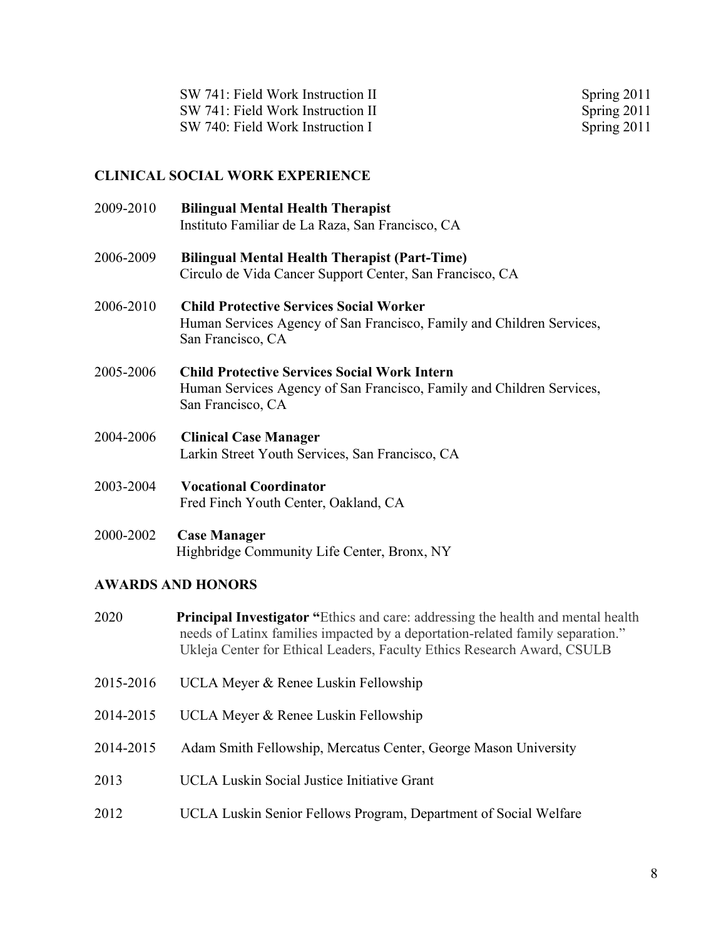| SW 741: Field Work Instruction II | Spring 2011 |
|-----------------------------------|-------------|
| SW 741: Field Work Instruction II | Spring 2011 |
| SW 740: Field Work Instruction I  | Spring 2011 |

## **CLINICAL SOCIAL WORK EXPERIENCE**

| 2009-2010 | <b>Bilingual Mental Health Therapist</b><br>Instituto Familiar de La Raza, San Francisco, CA                                                      |
|-----------|---------------------------------------------------------------------------------------------------------------------------------------------------|
| 2006-2009 | <b>Bilingual Mental Health Therapist (Part-Time)</b><br>Circulo de Vida Cancer Support Center, San Francisco, CA                                  |
| 2006-2010 | <b>Child Protective Services Social Worker</b><br>Human Services Agency of San Francisco, Family and Children Services,<br>San Francisco, CA      |
| 2005-2006 | <b>Child Protective Services Social Work Intern</b><br>Human Services Agency of San Francisco, Family and Children Services,<br>San Francisco, CA |
| 2004-2006 | <b>Clinical Case Manager</b><br>Larkin Street Youth Services, San Francisco, CA                                                                   |

2003-2004 **Vocational Coordinator** Fred Finch Youth Center, Oakland, CA

## 2000-2002 **Case Manager** Highbridge Community Life Center, Bronx, NY

# **AWARDS AND HONORS**

- 2020 **Principal Investigator "**Ethics and care: addressing the health and mental health needs of Latinx families impacted by a deportation-related family separation." Ukleja Center for Ethical Leaders, Faculty Ethics Research Award, CSULB
- 2015-2016 UCLA Meyer & Renee Luskin Fellowship
- 2014-2015 UCLA Meyer & Renee Luskin Fellowship
- 2014-2015 Adam Smith Fellowship, Mercatus Center, George Mason University
- 2013 UCLA Luskin Social Justice Initiative Grant
- 2012 UCLA Luskin Senior Fellows Program, Department of Social Welfare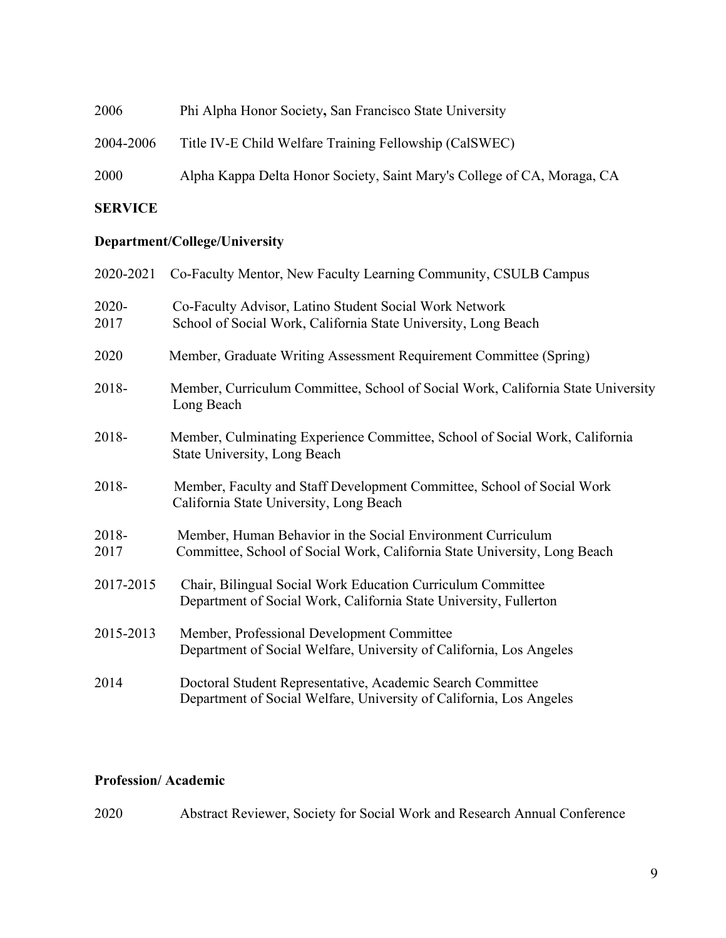| 2006      | Phi Alpha Honor Society, San Francisco State University                 |
|-----------|-------------------------------------------------------------------------|
| 2004-2006 | Title IV-E Child Welfare Training Fellowship (CalSWEC)                  |
| 2000      | Alpha Kappa Delta Honor Society, Saint Mary's College of CA, Moraga, CA |

# **SERVICE**

# **Department/College/University**

| 2020-2021     | Co-Faculty Mentor, New Faculty Learning Community, CSULB Campus                                                                          |
|---------------|------------------------------------------------------------------------------------------------------------------------------------------|
| 2020-<br>2017 | Co-Faculty Advisor, Latino Student Social Work Network<br>School of Social Work, California State University, Long Beach                 |
| 2020          | Member, Graduate Writing Assessment Requirement Committee (Spring)                                                                       |
| 2018-         | Member, Curriculum Committee, School of Social Work, California State University<br>Long Beach                                           |
| 2018-         | Member, Culminating Experience Committee, School of Social Work, California<br>State University, Long Beach                              |
| 2018-         | Member, Faculty and Staff Development Committee, School of Social Work<br>California State University, Long Beach                        |
| 2018-<br>2017 | Member, Human Behavior in the Social Environment Curriculum<br>Committee, School of Social Work, California State University, Long Beach |
| 2017-2015     | Chair, Bilingual Social Work Education Curriculum Committee<br>Department of Social Work, California State University, Fullerton         |
| 2015-2013     | Member, Professional Development Committee<br>Department of Social Welfare, University of California, Los Angeles                        |
| 2014          | Doctoral Student Representative, Academic Search Committee<br>Department of Social Welfare, University of California, Los Angeles        |

# **Profession/ Academic**